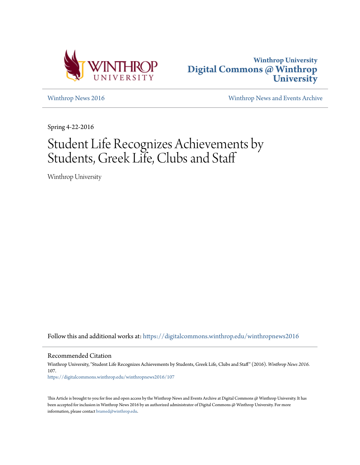



[Winthrop News 2016](https://digitalcommons.winthrop.edu/winthropnews2016?utm_source=digitalcommons.winthrop.edu%2Fwinthropnews2016%2F107&utm_medium=PDF&utm_campaign=PDFCoverPages) [Winthrop News and Events Archive](https://digitalcommons.winthrop.edu/winthropnewsarchives?utm_source=digitalcommons.winthrop.edu%2Fwinthropnews2016%2F107&utm_medium=PDF&utm_campaign=PDFCoverPages)

Spring 4-22-2016

# Student Life Recognizes Achievements by Students, Greek Life, Clubs and Staff

Winthrop University

Follow this and additional works at: [https://digitalcommons.winthrop.edu/winthropnews2016](https://digitalcommons.winthrop.edu/winthropnews2016?utm_source=digitalcommons.winthrop.edu%2Fwinthropnews2016%2F107&utm_medium=PDF&utm_campaign=PDFCoverPages)

Recommended Citation

Winthrop University, "Student Life Recognizes Achievements by Students, Greek Life, Clubs and Staff" (2016). *Winthrop News 2016*. 107.

[https://digitalcommons.winthrop.edu/winthropnews2016/107](https://digitalcommons.winthrop.edu/winthropnews2016/107?utm_source=digitalcommons.winthrop.edu%2Fwinthropnews2016%2F107&utm_medium=PDF&utm_campaign=PDFCoverPages)

This Article is brought to you for free and open access by the Winthrop News and Events Archive at Digital Commons @ Winthrop University. It has been accepted for inclusion in Winthrop News 2016 by an authorized administrator of Digital Commons @ Winthrop University. For more information, please contact [bramed@winthrop.edu](mailto:bramed@winthrop.edu).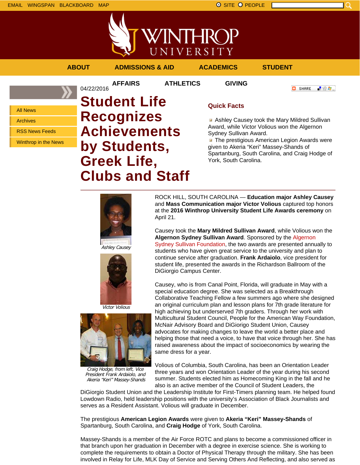

**ABOUT ADMISSIONS & AID ACADEMICS STUDENT**

04/22/2016

**AFFAIRS ATHLETICS GIVING**

「验費」 **O** SHARE

All News

Archives

RSS News Feeds

Winthrop in the News

# **Student Life Recognizes Achievements by Students, Greek Life, Clubs and Staff**

## **Quick Facts**

Ashley Causey took the Mary Mildred Sullivan Award, while Victor Volious won the Algernon Sydney Sullivan Award.

**The prestigious American Legion Awards were** given to Akeria "Keri" Massey-Shands of Spartanburg, South Carolina, and Craig Hodge of York, South Carolina.



Ashley Causey





Craig Hodge, from left, Vice President Frank Ardaiolo, and Akeria "Keri" Massey-Shands

ROCK HILL, SOUTH CAROLINA — **Education major Ashley Causey** and **Mass Communication major Victor Volious** captured top honors at the **2016 Winthrop University Student Life Awards ceremony** on April 21.

Causey took the **Mary Mildred Sullivan Award**, while Volious won the **Algernon Sydney Sullivan Award**. Sponsored by the Algernon Sydney Sullivan Foundation, the two awards are presented annually to students who have given great service to the university and plan to continue service after graduation. **Frank Ardaiolo**, vice president for student life, presented the awards in the Richardson Ballroom of the DiGiorgio Campus Center.

Causey, who is from Canal Point, Florida, will graduate in May with a special education degree. She was selected as a Breakthrough Collaborative Teaching Fellow a few summers ago where she designed an original curriculum plan and lesson plans for 7th grade literature for high achieving but underserved 7th graders. Through her work with Multicultural Student Council, People for the American Way Foundation, McNair Advisory Board and DiGiorigo Student Union, Causey advocates for making changes to leave the world a better place and helping those that need a voice, to have that voice through her. She has raised awareness about the impact of socioeconomics by wearing the same dress for a year.

Volious of Columbia, South Carolina, has been an Orientation Leader three years and won Orientation Leader of the year during his second summer. Students elected him as Homecoming King in the fall and he also is an active member of the Council of Student Leaders, the

DiGiorgio Student Union and the Leadership Institute for First-Timers planning team. He helped found Lowdown Radio, held leadership positions with the university's Association of Black Journalists and serves as a Resident Assistant. Volious will graduate in December.

The prestigious **American Legion Awards** were given to **Akeria "Keri" Massey-Shands** of Spartanburg, South Carolina, and **Craig Hodge** of York, South Carolina.

Massey-Shands is a member of the Air Force ROTC and plans to become a commissioned officer in that branch upon her graduation in December with a degree in exercise science. She is working to complete the requirements to obtain a Doctor of Physical Therapy through the military. She has been involved in Relay for Life, MLK Day of Service and Serving Others And Reflecting, and also served as